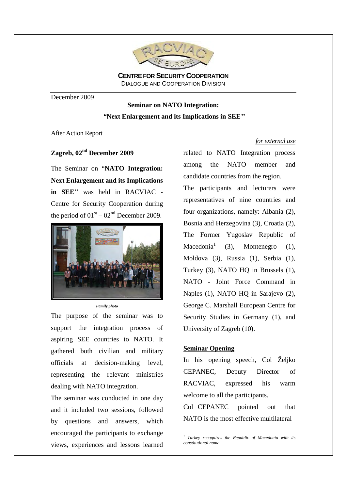

**CENTRE FOR SECURITY COOPERATION** DIALOGUE AND COOPERATION DIVISION

December 2009

# **Seminar on NATO Integration:**  *"***Next Enlargement and its Implications in SEE***''*

After Action Report

## **Zagreb, 02nd December 2009**

The Seminar on "**NATO Integration: Next Enlargement and its Implications in SEE**'' was held in RACVIAC - Centre for Security Cooperation during the period of  $01<sup>st</sup> - 02<sup>nd</sup>$  December 2009.



*Family photo*

The purpose of the seminar was to support the integration process of aspiring SEE countries to NATO. It gathered both civilian and military officials at decision-making level, representing the relevant ministries dealing with NATO integration.

The seminar was conducted in one day and it included two sessions, followed by questions and answers, which encouraged the participants to exchange views, experiences and lessons learned

#### *for external use*

related to NATO Integration process among the NATO member and candidate countries from the region.

The participants and lecturers were representatives of nine countries and four organizations, namely: Albania (2), Bosnia and Herzegovina (3), Croatia (2), The Former Yugoslav Republic of  $M$ acedonia $^1$  (3), Montenegro (1), Moldova (3), Russia (1), Serbia (1), Turkey (3), NATO HQ in Brussels (1), NATO - Joint Force Command in Naples (1), NATO HQ in Sarajevo (2), George C. Marshall European Centre for Security Studies in Germany (1), and University of Zagreb (10).

#### **Seminar Opening**

In his opening speech, Col Željko CEPANEC, Deputy Director of RACVIAC, expressed his warm welcome to all the participants.

Col CEPANEC pointed out that NATO is the most effective multilateral

 *1 Turkey recognizes the Republic of Macedonia with its constitutional name*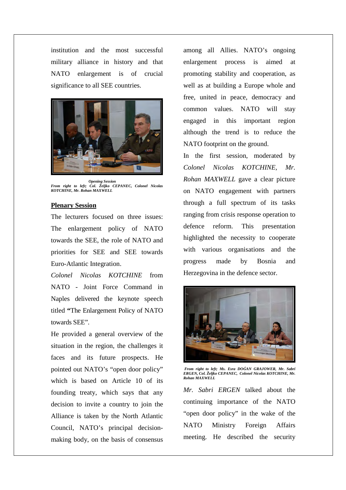institution and the most successful military alliance in history and that NATO enlargement is of crucial significance to all SEE countries.



 *Opening Session From right to left; Col. Željko CEPANEC, Colonel Nicolas KOTCHINE, Mr. Rohan MAXWELL* 

#### **Plenary Session**

The lecturers focused on three issues: The enlargement policy of NATO towards the SEE, the role of NATO and priorities for SEE and SEE towards Euro-Atlantic Integration.

*Colonel Nicolas KOTCHINE* from NATO - Joint Force Command in Naples delivered the keynote speech titled **"**The Enlargement Policy of NATO towards SEE".

He provided a general overview of the situation in the region, the challenges it faces and its future prospects. He pointed out NATO's "open door policy" which is based on Article 10 of its founding treaty, which says that any decision to invite a country to join the Alliance is taken by the North Atlantic Council, NATO's principal decisionmaking body, on the basis of consensus

among all Allies. NATO's ongoing enlargement process is aimed at promoting stability and cooperation, as well as at building a Europe whole and free, united in peace, democracy and common values. NATO will stay engaged in this important region although the trend is to reduce the NATO footprint on the ground.

In the first session, moderated by *Colonel Nicolas KOTCHINE, Mr. Rohan MAXWELL* gave a clear picture on NATO engagement with partners through a full spectrum of its tasks ranging from crisis response operation to defence reform. This presentation highlighted the necessity to cooperate with various organisations and the progress made by Bosnia and Herzegovina in the defence sector.



*From right to left; Ms. Esra DOĀAN GRAJOWER, Mr. Sabri ERGEN, Col. Željko CEPANEC, Colonel Nicolas KOTCHINE, Mr. Rohan MAXWELL* 

*Mr. Sabri ERGEN* talked about the continuing importance of the NATO "open door policy" in the wake of the NATO Ministry Foreign Affairs meeting. He described the security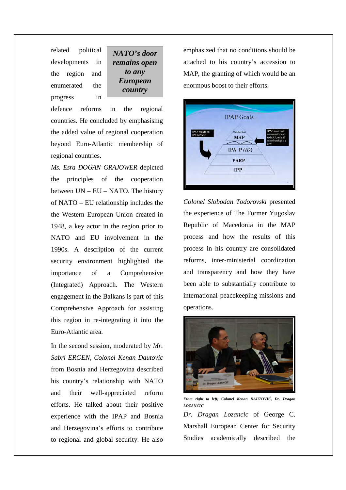related political developments in the region and enumerated the progress in

*NATO's door remains open to any European country*

defence reforms in the regional countries. He concluded by emphasising the added value of regional cooperation beyond Euro-Atlantic membership of regional countries.

*Ms. Esra DOĀAN GRAJOWER* depicted the principles of the cooperation between UN – EU – NATO. The history of NATO – EU relationship includes the the Western European Union created in 1948, a key actor in the region prior to NATO and EU involvement in the 1990s. A description of the current security environment highlighted the importance of a Comprehensive (Integrated) Approach. The Western engagement in the Balkans is part of this Comprehensive Approach for assisting this region in re-integrating it into the Euro-Atlantic area.

In the second session, moderated by *Mr. Sabri ERGEN, Colonel Kenan Dautovic* from Bosnia and Herzegovina described his country's relationship with NATO and their well-appreciated reform efforts. He talked about their positive experience with the IPAP and Bosnia and Herzegovina's efforts to contribute to regional and global security. He also

emphasized that no conditions should be attached to his country's accession to MAP, the granting of which would be an enormous boost to their efforts.



*Colonel Slobodan Todorovski* presented the experience of The Former Yugoslav Republic of Macedonia in the MAP process and how the results of this process in his country are consolidated reforms, inter-ministerial coordination and transparency and how they have been able to substantially contribute to international peacekeeping missions and operations.



*From right to left; Colonel Kenan DAUTOVIĆ, Dr. Dragan LOZANČIĆ Dr. Dragan Lozancic* of George C. Marshall European Center for Security Studies academically described the